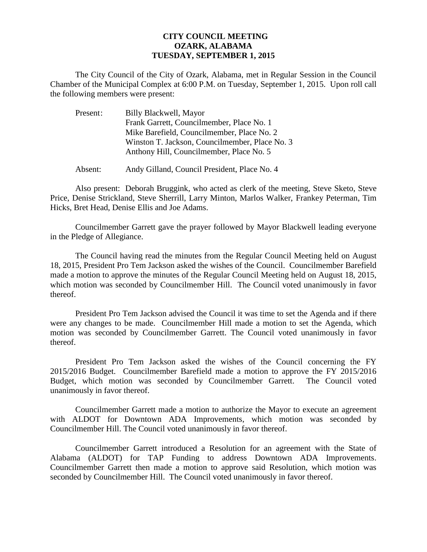## **CITY COUNCIL MEETING OZARK, ALABAMA TUESDAY, SEPTEMBER 1, 2015**

The City Council of the City of Ozark, Alabama, met in Regular Session in the Council Chamber of the Municipal Complex at 6:00 P.M. on Tuesday, September 1, 2015. Upon roll call the following members were present:

| Present: | Billy Blackwell, Mayor                         |
|----------|------------------------------------------------|
|          | Frank Garrett, Councilmember, Place No. 1      |
|          | Mike Barefield, Councilmember, Place No. 2     |
|          | Winston T. Jackson, Councilmember, Place No. 3 |
|          | Anthony Hill, Councilmember, Place No. 5       |
|          |                                                |

Absent: Andy Gilland, Council President, Place No. 4

Also present: Deborah Bruggink, who acted as clerk of the meeting, Steve Sketo, Steve Price, Denise Strickland, Steve Sherrill, Larry Minton, Marlos Walker, Frankey Peterman, Tim Hicks, Bret Head, Denise Ellis and Joe Adams.

Councilmember Garrett gave the prayer followed by Mayor Blackwell leading everyone in the Pledge of Allegiance.

The Council having read the minutes from the Regular Council Meeting held on August 18, 2015, President Pro Tem Jackson asked the wishes of the Council. Councilmember Barefield made a motion to approve the minutes of the Regular Council Meeting held on August 18, 2015, which motion was seconded by Councilmember Hill. The Council voted unanimously in favor thereof.

President Pro Tem Jackson advised the Council it was time to set the Agenda and if there were any changes to be made. Councilmember Hill made a motion to set the Agenda, which motion was seconded by Councilmember Garrett. The Council voted unanimously in favor thereof.

 President Pro Tem Jackson asked the wishes of the Council concerning the FY 2015/2016 Budget. Councilmember Barefield made a motion to approve the FY 2015/2016 Budget, which motion was seconded by Councilmember Garrett. The Council voted unanimously in favor thereof.

Councilmember Garrett made a motion to authorize the Mayor to execute an agreement with ALDOT for Downtown ADA Improvements, which motion was seconded by Councilmember Hill. The Council voted unanimously in favor thereof.

 Councilmember Garrett introduced a Resolution for an agreement with the State of Alabama (ALDOT) for TAP Funding to address Downtown ADA Improvements. Councilmember Garrett then made a motion to approve said Resolution, which motion was seconded by Councilmember Hill. The Council voted unanimously in favor thereof.